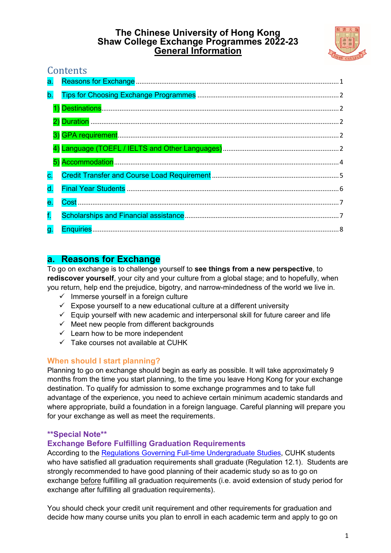## **The Chinese University of Hong Kong Shaw College Exchange Programmes 2022-23 General Information**



# **Contents**

# <span id="page-0-0"></span>**a. Reasons for Exchange**

To go on exchange is to challenge yourself to **see things from a new perspective**, to **rediscover yourself**, your city and your culture from a global stage; and to hopefully, when you return, help end the prejudice, bigotry, and narrow-mindedness of the world we live in.

- $\checkmark$  Immerse yourself in a foreign culture
- $\checkmark$  Expose yourself to a new educational culture at a different university
- $\checkmark$  Equip yourself with new academic and interpersonal skill for future career and life
- $\checkmark$  Meet new people from different backgrounds
- $\checkmark$  Learn how to be more independent
- $\checkmark$  Take courses not available at CUHK

## **When should I start planning?**

Planning to go on exchange should begin as early as possible. It will take approximately 9 months from the time you start planning, to the time you leave Hong Kong for your exchange destination. To qualify for admission to some exchange programmes and to take full advantage of the experience, you need to achieve certain minimum academic standards and where appropriate, build a foundation in a foreign language. Careful planning will prepare you for your exchange as well as meet the requirements.

### **\*\*Special Note\*\***

## **Exchange Before Fulfilling Graduation Requirements**

According to the [Regulations Governing Full-time Undergraduate Studies,](http://rgsntl.rgs.cuhk.edu.hk/aqs_prd_applx/Public/Handbook/Default.aspx?id=1543&tv=T&lang=en) CUHK students who have satisfied all graduation requirements shall graduate (Regulation 12.1). Students are strongly recommended to have good planning of their academic study so as to go on exchange before fulfilling all graduation requirements (i.e. avoid extension of study period for exchange after fulfilling all graduation requirements).

You should check your credit unit requirement and other requirements for graduation and decide how many course units you plan to enroll in each academic term and apply to go on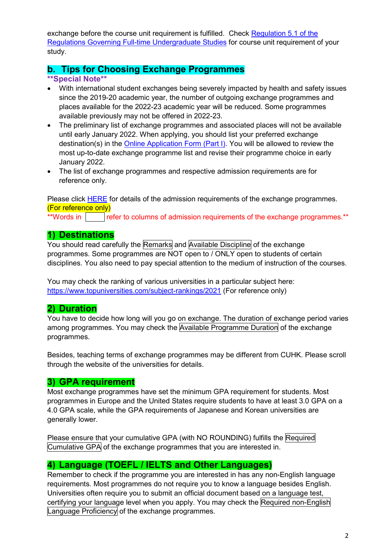exchange before the course unit requirement is fulfilled. Check [Regulation 5.1 of the](http://rgsntl.rgs.cuhk.edu.hk/aqs_prd_applx/Public/Handbook/Default.aspx?id=1543&tv=T&lang=en)  [Regulations Governing Full-time Undergraduate Studies](http://rgsntl.rgs.cuhk.edu.hk/aqs_prd_applx/Public/Handbook/Default.aspx?id=1543&tv=T&lang=en) for course unit requirement of your study.

# <span id="page-1-0"></span>**b. Tips for Choosing Exchange Programmes**

### **\*\*Special Note\*\***

- With international student exchanges being severely impacted by health and safety issues since the 2019-20 academic year, the number of outgoing exchange programmes and places available for the 2022-23 academic year will be reduced. Some programmes available previously may not be offered in 2022-23.
- The preliminary list of exchange programmes and associated places will not be available until early January 2022. When applying, you should list your preferred exchange destination(s) in the [Online Application Form \(Part I\).](https://cloud.itsc.cuhk.edu.hk/webform/view.php?id=13640156) You will be allowed to review the most up-to-date exchange programme list and revise their programme choice in early January 2022.
- The list of exchange programmes and respective admission requirements are for reference only.

Please click [HERE](https://www.shaw.cuhk.edu.hk/sites/default/files/share/editor_upload/exchange/2022-23/Admission%20Requirement_students_reference_2022-23.pdf) for details of the admission requirements of the exchange programmes. (For reference only)

\*\*Words in Figure 1 refer to columns of admission requirements of the exchange programmes.\*\*

# <span id="page-1-1"></span>**1) Destinations**

You should read carefully the Remarks and Available Discipline of the exchange programmes. Some programmes are NOT open to / ONLY open to students of certain disciplines. You also need to pay special attention to the medium of instruction of the courses.

You may check the ranking of various universities in a particular subject here: <https://www.topuniversities.com/subject-rankings/2021> (For reference only)

## <span id="page-1-2"></span>**2) Duration**

You have to decide how long will you go on exchange. The duration of exchange period varies among programmes. You may check the Available Programme Duration of the exchange programmes.

Besides, teaching terms of exchange programmes may be different from CUHK. Please scroll through the website of the universities for details.

## <span id="page-1-3"></span>**3) GPA requirement**

Most exchange programmes have set the minimum GPA requirement for students. Most programmes in Europe and the United States require students to have at least 3.0 GPA on a 4.0 GPA scale, while the GPA requirements of Japanese and Korean universities are generally lower.

Please ensure that your cumulative GPA (with NO ROUNDING) fulfills the Required Cumulative GPA of the exchange programmes that you are interested in.

# <span id="page-1-4"></span>**4) Language (TOEFL / IELTS and Other Languages)**

Remember to check if the programme you are interested in has any non-English language requirements. Most programmes do not require you to know a language besides English. Universities often require you to submit an official document based on a language test, certifying your language level when you apply. You may check the Required non-English Language Proficiency of the exchange programmes.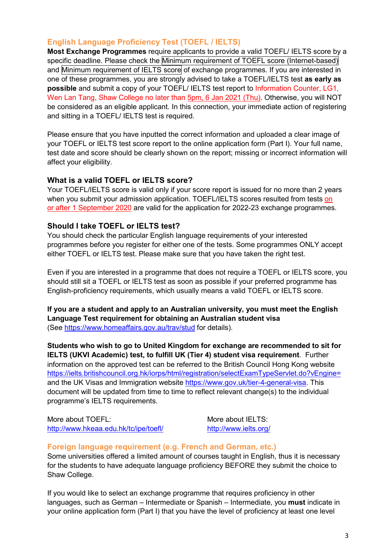# **English Language Proficiency Test (TOEFL / IELTS)**

**Most Exchange Programmes** require applicants to provide a valid TOEFL/ IELTS score by a specific deadline. Please check the Minimum requirement of TOEFL score (Internet-based) and Minimum requirement of IELTS score of exchange programmes. If you are interested in one of these programmes, you are strongly advised to take a TOEFL/IELTS test **as early as possible** and submit a copy of your TOEFL/ IELTS test report to Information Counter, LG1, Wen Lan Tang, Shaw College no later than 5pm, 6 Jan 2021 (Thu). Otherwise, you will NOT be considered as an eligible applicant. In this connection, your immediate action of registering and sitting in a TOEFL/ IELTS test is required.

Please ensure that you have inputted the correct information and uploaded a clear image of your TOEFL or IELTS test score report to the online application form (Part I). Your full name, test date and score should be clearly shown on the report; missing or incorrect information will affect your eligibility.

### **What is a valid TOEFL or IELTS score?**

Your TOEFL/IELTS score is valid only if your score report is issued for no more than 2 years when you submit your admission application. TOEFL/IELTS scores resulted from tests on or after 1 September 2020 are valid for the application for 2022-23 exchange programmes.

### **Should I take TOEFL or IELTS test?**

You should check the particular English language requirements of your interested programmes before you register for either one of the tests. Some programmes ONLY accept either TOEFL or IELTS test. Please make sure that you have taken the right test.

Even if you are interested in a programme that does not require a TOEFL or IELTS score, you should still sit a TOEFL or IELTS test as soon as possible if your preferred programme has English-proficiency requirements, which usually means a valid TOEFL or IELTS score.

**If you are a student and apply to an Australian university, you must meet the English Language Test requirement for obtaining an Australian student visa** (See <https://www.homeaffairs.gov.au/trav/stud> for details).

**Students who wish to go to United Kingdom for exchange are recommended to sit for IELTS (UKVI Academic) test, to fulfill UK (Tier 4) student visa requirement**. Further information on the approved test can be referred to the British Council Hong Kong website <https://ielts.britishcouncil.org.hk/iorps/html/registration/selectExamTypeServlet.do?vEngine=> and the UK Visas and Immigration website [https://www.gov.uk/tier-4-general-visa.](https://www.gov.uk/tier-4-general-visa) This document will be updated from time to time to reflect relevant change(s) to the individual programme's IELTS requirements.

More about TOEFL: <http://www.hkeaa.edu.hk/tc/ipe/toefl/>

More about IELTS: <http://www.ielts.org/>

### **Foreign language requirement (e.g. French and German, etc.)**

Some universities offered a limited amount of courses taught in English, thus it is necessary for the students to have adequate language proficiency BEFORE they submit the choice to Shaw College.

If you would like to select an exchange programme that requires proficiency in other languages, such as German – Intermediate or Spanish – Intermediate, you **must** indicate in your online application form (Part I) that you have the level of proficiency at least one level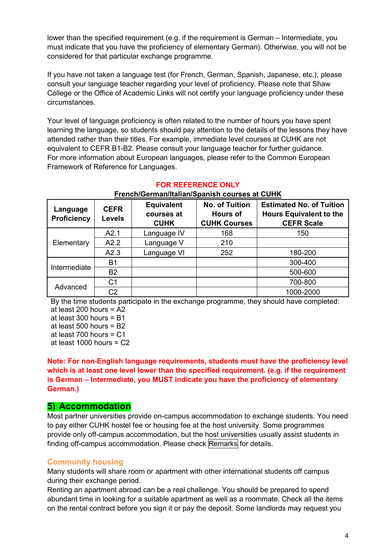lower than the specified requirement (e.g. if the requirement is German – Intermediate, you must indicate that you have the proficiency of elementary German). Otherwise, you will not be considered for that particular exchange programme.

If you have not taken a language test (for French, German, Spanish, Japanese, etc.), please consult your language teacher regarding your level of proficiency. Please note that Shaw College or the Office of Academic Links will not certify your language proficiency under these circumstances.

Your level of language proficiency is often related to the number of hours you have spent learning the language, so students should pay attention to the details of the lessons they have attended rather than their titles. For example, immediate level courses at CUHK are not equivalent to CEFR B1-B2. Please consult your language teacher for further guidance. For more information about European languages, please refer to the Common European Framework of Reference for Languages.

| Language<br><b>Proficiency</b> | <b>CEFR</b><br><b>Levels</b> | <b>Equivalent</b><br>courses at<br><b>CUHK</b> | <b>No. of Tuition</b><br><b>Hours of</b><br><b>CUHK Courses</b> | <b>Estimated No. of Tuition</b><br><b>Hours Equivalent to the</b><br><b>CEFR Scale</b> |
|--------------------------------|------------------------------|------------------------------------------------|-----------------------------------------------------------------|----------------------------------------------------------------------------------------|
| Elementary                     | A2.1                         | Language IV                                    | 168                                                             | 150                                                                                    |
|                                | A2.2                         | Language V                                     | 210                                                             |                                                                                        |
|                                | A2.3                         | Language VI                                    | 252                                                             | 180-200                                                                                |
| Intermediate                   | B1                           |                                                |                                                                 | 300-400                                                                                |
|                                | <b>B2</b>                    |                                                |                                                                 | 500-600                                                                                |
| Advanced                       | C1                           |                                                |                                                                 | 700-800                                                                                |
|                                | C <sub>2</sub>               |                                                |                                                                 | 1000-2000                                                                              |

#### **FOR REFERENCE ONLY**

### **French/German/Italian/Spanish courses at CUHK**

By the time students participate in the exchange programme, they should have completed:

at least 200 hours = A2 at least 300 hours = B1 at least 500 hours = B2

at least  $700$  hours =  $C1$ 

at least  $1000$  hours =  $C2$ 

**Note: For non-English language requirements, students must have the proficiency level which is at least one level lower than the specified requirement. (e.g. if the requirement is German – Intermediate, you MUST indicate you have the proficiency of elementary German.)**

## <span id="page-3-0"></span>**5) Accommodation**

Most partner universities provide on-campus accommodation to exchange students. You need to pay either CUHK hostel fee or housing fee at the host university. Some programmes provide only off-campus accommodation, but the host universities usually assist students in finding off-campus accommodation. Please check Remarks for details.

### **Community housing**

Many students will share room or apartment with other international students off campus during their exchange period.

Renting an apartment abroad can be a real challenge. You should be prepared to spend abundant time in looking for a suitable apartment as well as a roommate. Check all the items on the rental contract before you sign it or pay the deposit. Some landlords may request you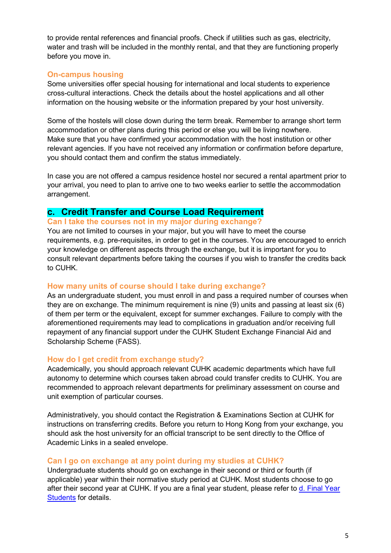to provide rental references and financial proofs. Check if utilities such as gas, electricity, water and trash will be included in the monthly rental, and that they are functioning properly before you move in.

### **On-campus housing**

Some universities offer special housing for international and local students to experience cross-cultural interactions. Check the details about the hostel applications and all other information on the housing website or the information prepared by your host university.

Some of the hostels will close down during the term break. Remember to arrange short term accommodation or other plans during this period or else you will be living nowhere. Make sure that you have confirmed your accommodation with the host institution or other relevant agencies. If you have not received any information or confirmation before departure, you should contact them and confirm the status immediately.

In case you are not offered a campus residence hostel nor secured a rental apartment prior to your arrival, you need to plan to arrive one to two weeks earlier to settle the accommodation arrangement.

## <span id="page-4-0"></span>**c. Credit Transfer and Course Load Requirement**

#### **Can I take the courses not in my major during exchange?**

You are not limited to courses in your major, but you will have to meet the course requirements, e.g. pre-requisites, in order to get in the courses. You are encouraged to enrich your knowledge on different aspects through the exchange, but it is important for you to consult relevant departments before taking the courses if you wish to transfer the credits back to CUHK.

#### **How many units of course should I take during exchange?**

As an undergraduate student, you must enroll in and pass a required number of courses when they are on exchange. The minimum requirement is nine (9) units and passing at least six (6) of them per term or the equivalent, except for summer exchanges. Failure to comply with the aforementioned requirements may lead to complications in graduation and/or receiving full repayment of any financial support under the CUHK Student Exchange Financial Aid and Scholarship Scheme (FASS).

#### **How do I get credit from exchange study?**

Academically, you should approach relevant CUHK academic departments which have full autonomy to determine which courses taken abroad could transfer credits to CUHK. You are recommended to approach relevant departments for preliminary assessment on course and unit exemption of particular courses.

Administratively, you should contact the Registration & Examinations Section at CUHK for instructions on transferring credits. Before you return to Hong Kong from your exchange, you should ask the host university for an official transcript to be sent directly to the Office of Academic Links in a sealed envelope.

#### **Can I go on exchange at any point during my studies at CUHK?**

Undergraduate students should go on exchange in their second or third or fourth (if applicable) year within their normative study period at CUHK. Most students choose to go after their second year at CUHK. If you are a final year student, please refer to [d. Final Year](#page-5-0)  [Students](#page-5-0) for details.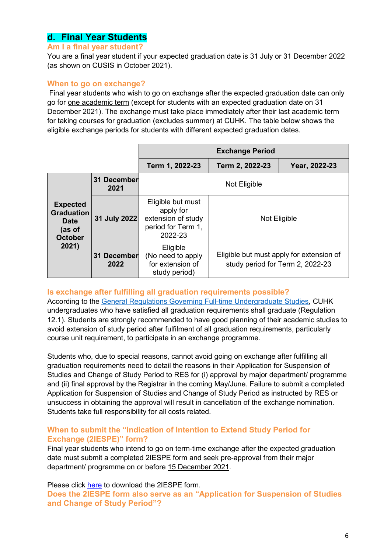# <span id="page-5-0"></span>**d. Final Year Students**

#### **Am I a final year student?**

You are a final year student if your expected graduation date is 31 July or 31 December 2022 (as shown on CUSIS in October 2021).

#### **When to go on exchange?**

Final year students who wish to go on exchange after the expected graduation date can only go for one academic term (except for students with an expected graduation date on 31 December 2021). The exchange must take place immediately after their last academic term for taking courses for graduation (excludes summer) at CUHK. The table below shows the eligible exchange periods for students with different expected graduation dates.

|                                                                                          |                     | <b>Exchange Period</b>                                                                |                                                                              |               |  |  |
|------------------------------------------------------------------------------------------|---------------------|---------------------------------------------------------------------------------------|------------------------------------------------------------------------------|---------------|--|--|
|                                                                                          |                     | Term 1, 2022-23                                                                       | Term 2, 2022-23                                                              | Year, 2022-23 |  |  |
| <b>Expected</b><br><b>Graduation</b><br><b>Date</b><br>(as of<br><b>October</b><br>2021) | 31 December<br>2021 | Not Eligible                                                                          |                                                                              |               |  |  |
|                                                                                          | 31 July 2022        | Eligible but must<br>apply for<br>extension of study<br>period for Term 1,<br>2022-23 | Not Eligible                                                                 |               |  |  |
|                                                                                          | 31 December<br>2022 | Eligible<br>(No need to apply<br>for extension of<br>study period)                    | Eligible but must apply for extension of<br>study period for Term 2, 2022-23 |               |  |  |

#### **Is exchange after fulfilling all graduation requirements possible?**

According to the [General Regulations Governing Full-time Undergraduate Studies,](http://rgsntl.rgs.cuhk.edu.hk/aqs_prd_applx/Public/Handbook/Default.aspx?id=1543&tv=T&lang=en) CUHK undergraduates who have satisfied all graduation requirements shall graduate (Regulation 12.1). Students are strongly recommended to have good planning of their academic studies to avoid extension of study period after fulfilment of all graduation requirements, particularly course unit requirement, to participate in an exchange programme.

Students who, due to special reasons, cannot avoid going on exchange after fulfilling all graduation requirements need to detail the reasons in their Application for Suspension of Studies and Change of Study Period to RES for (i) approval by major department/ programme and (ii) final approval by the Registrar in the coming May/June. Failure to submit a completed Application for Suspension of Studies and Change of Study Period as instructed by RES or unsuccess in obtaining the approval will result in cancellation of the exchange nomination. Students take full responsibility for all costs related.

#### **When to submit the "Indication of Intention to Extend Study Period for Exchange (2IESPE)" form?**

Final year students who intend to go on term-time exchange after the expected graduation date must submit a completed 2IESPE form and seek pre-approval from their major department/ programme on or before 15 December 2021.

Please click [here](https://www.shaw.cuhk.edu.hk/sites/default/files/share/editor_upload/exchange/2022-23/Indication%20of%20Intention%20to%20Extend%20Study%20Period%20for%20Exchange%20Form_2022-23.pdf) to download the 2IESPE form. **Does the 2IESPE form also serve as an "Application for Suspension of Studies and Change of Study Period"?**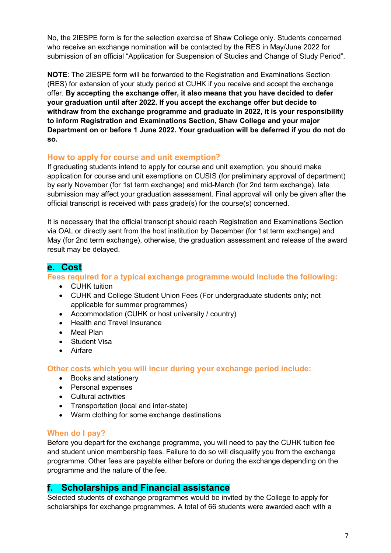No, the 2IESPE form is for the selection exercise of Shaw College only. Students concerned who receive an exchange nomination will be contacted by the RES in May/June 2022 for submission of an official "Application for Suspension of Studies and Change of Study Period".

**NOTE**: The 2IESPE form will be forwarded to the Registration and Examinations Section (RES) for extension of your study period at CUHK if you receive and accept the exchange offer. **By accepting the exchange offer, it also means that you have decided to defer your graduation until after 2022. If you accept the exchange offer but decide to withdraw from the exchange programme and graduate in 2022, it is your responsibility to inform Registration and Examinations Section, Shaw College and your major Department on or before 1 June 2022. Your graduation will be deferred if you do not do so.**

## **How to apply for course and unit exemption?**

If graduating students intend to apply for course and unit exemption, you should make application for course and unit exemptions on CUSIS (for preliminary approval of department) by early November (for 1st term exchange) and mid-March (for 2nd term exchange), late submission may affect your graduation assessment. Final approval will only be given after the official transcript is received with pass grade(s) for the course(s) concerned.

It is necessary that the official transcript should reach Registration and Examinations Section via OAL or directly sent from the host institution by December (for 1st term exchange) and May (for 2nd term exchange), otherwise, the graduation assessment and release of the award result may be delayed.

## <span id="page-6-0"></span>**e. Cost**

### **Fees required for a typical exchange programme would include the following:**

- CUHK tuition
- CUHK and College Student Union Fees (For undergraduate students only; not applicable for summer programmes)
- Accommodation (CUHK or host university / country)
- Health and Travel Insurance
- Meal Plan
- Student Visa
- Airfare

**Other costs which you will incur during your exchange period include:**

- Books and stationery
- Personal expenses
- Cultural activities
- Transportation (local and inter-state)
- Warm clothing for some exchange destinations

### **When do I pay?**

Before you depart for the exchange programme, you will need to pay the CUHK tuition fee and student union membership fees. Failure to do so will disqualify you from the exchange programme. Other fees are payable either before or during the exchange depending on the programme and the nature of the fee.

# <span id="page-6-1"></span>**f. Scholarships and Financial assistance**

Selected students of exchange programmes would be invited by the College to apply for scholarships for exchange programmes. A total of 66 students were awarded each with a